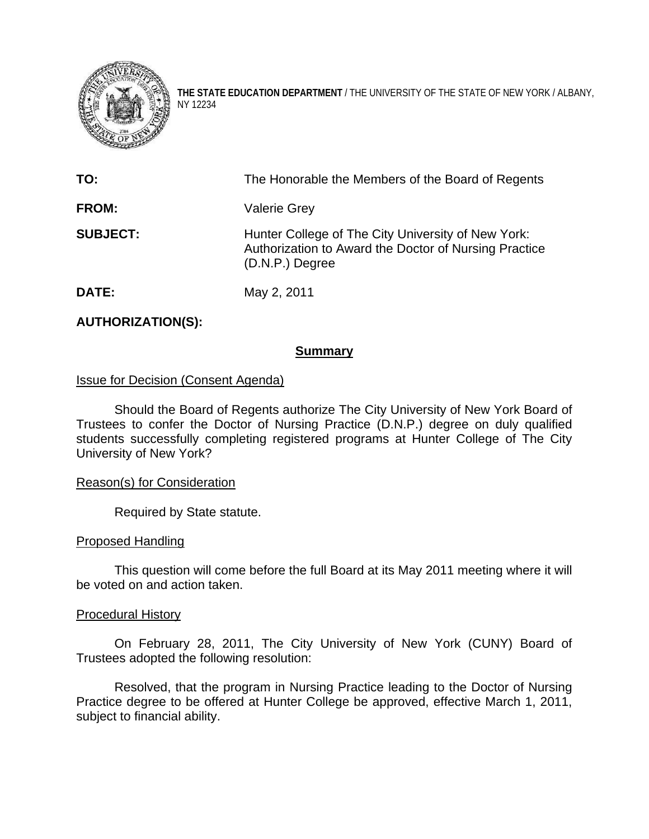

**THE STATE EDUCATION DEPARTMENT** / THE UNIVERSITY OF THE STATE OF NEW YORK / ALBANY, NY 12234

| TO:             | The Honorable the Members of the Board of Regents                                                                                |
|-----------------|----------------------------------------------------------------------------------------------------------------------------------|
| <b>FROM:</b>    | <b>Valerie Grey</b>                                                                                                              |
| <b>SUBJECT:</b> | Hunter College of The City University of New York:<br>Authorization to Award the Doctor of Nursing Practice<br>$(D.N.P.)$ Degree |
| DATE:           | May 2, 2011                                                                                                                      |

# **AUTHORIZATION(S):**

### **Summary**

### Issue for Decision (Consent Agenda)

Should the Board of Regents authorize The City University of New York Board of Trustees to confer the Doctor of Nursing Practice (D.N.P.) degree on duly qualified students successfully completing registered programs at Hunter College of The City University of New York?

#### Reason(s) for Consideration

Required by State statute.

### Proposed Handling

This question will come before the full Board at its May 2011 meeting where it will be voted on and action taken.

#### Procedural History

On February 28, 2011, The City University of New York (CUNY) Board of Trustees adopted the following resolution:

Resolved, that the program in Nursing Practice leading to the Doctor of Nursing Practice degree to be offered at Hunter College be approved, effective March 1, 2011, subject to financial ability.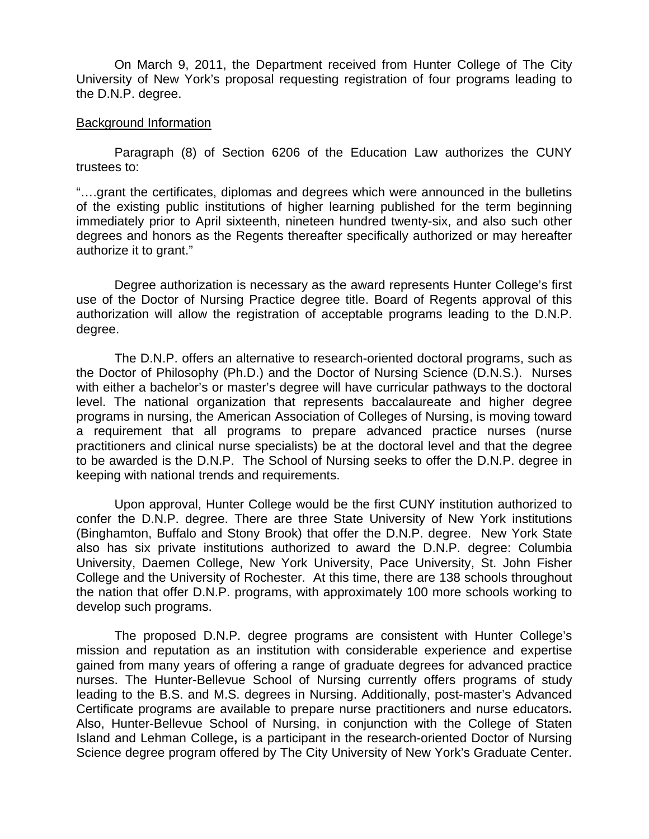On March 9, 2011, the Department received from Hunter College of The City University of New York's proposal requesting registration of four programs leading to the D.N.P. degree.

#### Background Information

Paragraph (8) of Section 6206 of the Education Law authorizes the CUNY trustees to:

"….grant the certificates, diplomas and degrees which were announced in the bulletins of the existing public institutions of higher learning published for the term beginning immediately prior to April sixteenth, nineteen hundred twenty-six, and also such other degrees and honors as the Regents thereafter specifically authorized or may hereafter authorize it to grant."

Degree authorization is necessary as the award represents Hunter College's first use of the Doctor of Nursing Practice degree title. Board of Regents approval of this authorization will allow the registration of acceptable programs leading to the D.N.P. degree.

 The D.N.P. offers an alternative to research-oriented doctoral programs, such as the Doctor of Philosophy (Ph.D.) and the Doctor of Nursing Science (D.N.S.). Nurses with either a bachelor's or master's degree will have curricular pathways to the doctoral level. The national organization that represents baccalaureate and higher degree programs in nursing, the American Association of Colleges of Nursing, is moving toward a requirement that all programs to prepare advanced practice nurses (nurse practitioners and clinical nurse specialists) be at the doctoral level and that the degree to be awarded is the D.N.P. The School of Nursing seeks to offer the D.N.P. degree in keeping with national trends and requirements.

Upon approval, Hunter College would be the first CUNY institution authorized to confer the D.N.P. degree. There are three State University of New York institutions (Binghamton, Buffalo and Stony Brook) that offer the D.N.P. degree. New York State also has six private institutions authorized to award the D.N.P. degree: Columbia University, Daemen College, New York University, Pace University, St. John Fisher College and the University of Rochester. At this time, there are 138 schools throughout the nation that offer D.N.P. programs, with approximately 100 more schools working to develop such programs.

The proposed D.N.P. degree programs are consistent with Hunter College's mission and reputation as an institution with considerable experience and expertise gained from many years of offering a range of graduate degrees for advanced practice nurses. The Hunter-Bellevue School of Nursing currently offers programs of study leading to the B.S. and M.S. degrees in Nursing. Additionally, post-master's Advanced Certificate programs are available to prepare nurse practitioners and nurse educators**.**  Also, Hunter-Bellevue School of Nursing, in conjunction with the College of Staten Island and Lehman College**,** is a participant in the research-oriented Doctor of Nursing Science degree program offered by The City University of New York's Graduate Center.